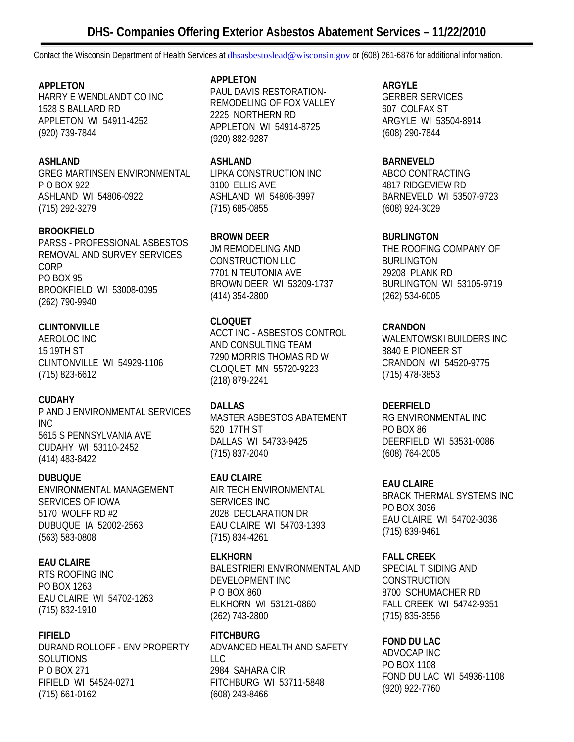# **APPLETON**

HARRY E WENDLANDT CO INC 1528 S BALLARD RD APPLETON WI 54911-4252 (920) 739-7844

# **ASHLAND**

GREG MARTINSEN ENVIRONMENTAL P O BOX 922 ASHLAND WI 54806-0922 (715) 292-3279

# **BROOKFIELD**

PARSS - PROFESSIONAL ASBESTOS REMOVAL AND SURVEY SERVICES CORP PO BOX 95 BROOKFIELD WI 53008-0095 (262) 790-9940

# **CLINTONVILLE**

AEROLOC INC 15 19TH ST CLINTONVILLE WI 54929-1106 (715) 823-6612

# **CUDAHY**

P AND J ENVIRONMENTAL SERVICES INC 5615 S PENNSYLVANIA AVE CUDAHY WI 53110-2452 (414) 483-8422

# **DUBUQUE**

ENVIRONMENTAL MANAGEMENT SERVICES OF IOWA 5170 WOLFF RD #2 DUBUQUE IA 52002-2563 (563) 583-0808

# **EAU CLAIRE**

RTS ROOFING INC PO BOX 1263 EAU CLAIRE WI 54702-1263 (715) 832-1910

# **FIFIELD**

DURAND ROLLOFF - ENV PROPERTY SOLUTIONS P O BOX 271 FIFIELD WI 54524-0271 (715) 661-0162

#### **APPLETON**

PAUL DAVIS RESTORATION-REMODELING OF FOX VALLEY 2225 NORTHERN RD APPLETON WI 54914-8725 (920) 882-9287

### **ASHLAND**

LIPKA CONSTRUCTION INC 3100 ELLIS AVE ASHLAND WI 54806-3997 (715) 685-0855

# **BROWN DEER**

JM REMODELING AND CONSTRUCTION LLC 7701 N TEUTONIA AVE BROWN DEER WI 53209-1737 (414) 354-2800

# **CLOQUET**

ACCT INC - ASBESTOS CONTROL AND CONSULTING TEAM 7290 MORRIS THOMAS RD W CLOQUET MN 55720-9223 (218) 879-2241

# **DALLAS**

MASTER ASBESTOS ABATEMENT 520 17TH ST DALLAS WI 54733-9425 (715) 837-2040

# **EAU CLAIRE**

AIR TECH ENVIRONMENTAL SERVICES INC 2028 DECLARATION DR EAU CLAIRE WI 54703-1393 (715) 834-4261

# **ELKHORN**

BALESTRIERI ENVIRONMENTAL AND DEVELOPMENT INC P O BOX 860 ELKHORN WI 53121-0860 (262) 743-2800

# **FITCHBURG**

ADVANCED HEALTH AND SAFETY LLC 2984 SAHARA CIR FITCHBURG WI 53711-5848 (608) 243-8466

# **ARGYLE**

GERBER SERVICES 607 COLFAX ST ARGYLE WI 53504-8914 (608) 290-7844

### **BARNEVELD**

ABCO CONTRACTING 4817 RIDGEVIEW RD BARNEVELD WI 53507-9723 (608) 924-3029

# **BURLINGTON**

THE ROOFING COMPANY OF BURLINGTON 29208 PLANK RD BURLINGTON WI 53105-9719 (262) 534-6005

# **CRANDON**

WALENTOWSKI BUILDERS INC 8840 E PIONEER ST CRANDON WI 54520-9775 (715) 478-3853

# **DEERFIELD**

RG ENVIRONMENTAL INC PO BOX 86 DEERFIELD WI 53531-0086 (608) 764-2005

# **EAU CLAIRE**

BRACK THERMAL SYSTEMS INC PO BOX 3036 EAU CLAIRE WI 54702-3036 (715) 839-9461

# **FALL CREEK**

SPECIAL T SIDING AND **CONSTRUCTION** 8700 SCHUMACHER RD FALL CREEK WI 54742-9351 (715) 835-3556

# **FOND DU LAC**

ADVOCAP INC PO BOX 1108 FOND DU LAC WI 54936-1108 (920) 922-7760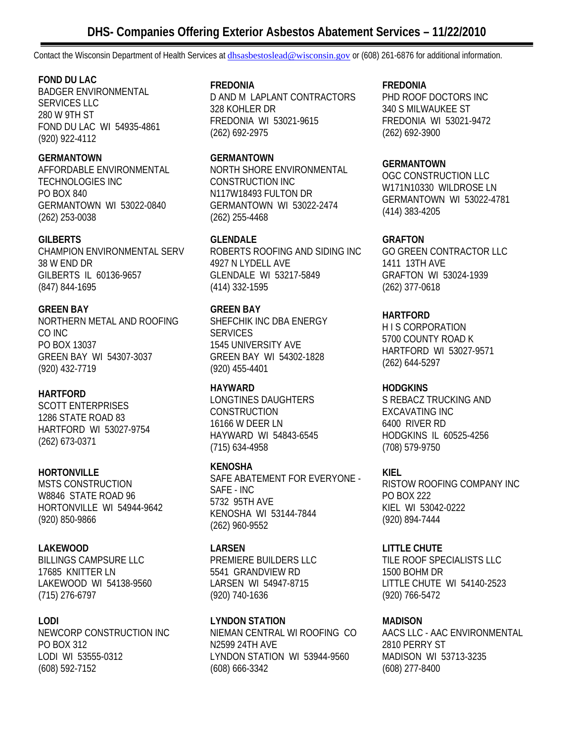# **FOND DU LAC**

BADGER ENVIRONMENTAL SERVICES LLC 280 W 9TH ST FOND DU LAC WI 54935-4861 (920) 922-4112

# **GERMANTOWN**

AFFORDABLE ENVIRONMENTAL TECHNOLOGIES INC PO BOX 840 GERMANTOWN WI 53022-0840 (262) 253-0038

# **GILBERTS**

CHAMPION ENVIRONMENTAL SERV 38 W END DR GILBERTS IL 60136-9657 (847) 844-1695

# **GREEN BAY**

NORTHERN METAL AND ROOFING CO INC PO BOX 13037 GREEN BAY WI 54307-3037 (920) 432-7719

# **HARTFORD**

SCOTT ENTERPRISES 1286 STATE ROAD 83 HARTFORD WI 53027-9754 (262) 673-0371

# **HORTONVILLE**

MSTS CONSTRUCTION W8846 STATE ROAD 96 HORTONVILLE WI 54944-9642 (920) 850-9866

# **LAKEWOOD**

BILLINGS CAMPSURE LLC 17685 KNITTER LN LAKEWOOD WI 54138-9560 (715) 276-6797

# **LODI**

NEWCORP CONSTRUCTION INC PO BOX 312 LODI WI 53555-0312 (608) 592-7152

### **FREDONIA**

D AND M LAPLANT CONTRACTORS 328 KOHLER DR FREDONIA WI 53021-9615 (262) 692-2975

### **GERMANTOWN**

NORTH SHORE ENVIRONMENTAL CONSTRUCTION INC N117W18493 FULTON DR GERMANTOWN WI 53022-2474 (262) 255-4468

# **GLENDALE**

ROBERTS ROOFING AND SIDING INC 4927 N LYDELL AVE GLENDALE WI 53217-5849 (414) 332-1595

# **GREEN BAY**

SHEFCHIK INC DBA ENERGY **SERVICES** 1545 UNIVERSITY AVE GREEN BAY WI 54302-1828 (920) 455-4401

# **HAYWARD**

LONGTINES DAUGHTERS CONSTRUCTION 16166 W DEER LN HAYWARD WI 54843-6545 (715) 634-4958

# **KENOSHA**

SAFE ABATEMENT FOR EVERYONE - SAFE - INC 5732 95TH AVE KENOSHA WI 53144-7844 (262) 960-9552

# **LARSEN**

PREMIERE BUILDERS LLC 5541 GRANDVIEW RD LARSEN WI 54947-8715 (920) 740-1636

# **LYNDON STATION**  NIEMAN CENTRAL WI ROOFING CO

N2599 24TH AVE LYNDON STATION WI 53944-9560 (608) 666-3342

# **FREDONIA**

PHD ROOF DOCTORS INC 340 S MILWAUKEE ST FREDONIA WI 53021-9472 (262) 692-3900

# **GERMANTOWN**

OGC CONSTRUCTION LLC W171N10330 WILDROSE LN GERMANTOWN WI 53022-4781 (414) 383-4205

# **GRAFTON**

GO GREEN CONTRACTOR LLC 1411 13TH AVE GRAFTON WI 53024-1939 (262) 377-0618

# **HARTFORD**

H I S CORPORATION 5700 COUNTY ROAD K HARTFORD WI 53027-9571 (262) 644-5297

# **HODGKINS**

S REBACZ TRUCKING AND EXCAVATING INC 6400 RIVER RD HODGKINS IL 60525-4256 (708) 579-9750

# **KIEL**

RISTOW ROOFING COMPANY INC PO BOX 222 KIEL WI 53042-0222 (920) 894-7444

# **LITTLE CHUTE**

TILE ROOF SPECIALISTS LLC 1500 BOHM DR LITTLE CHUTE WI 54140-2523 (920) 766-5472

# **MADISON**

AACS LLC - AAC ENVIRONMENTAL 2810 PERRY ST MADISON WI 53713-3235 (608) 277-8400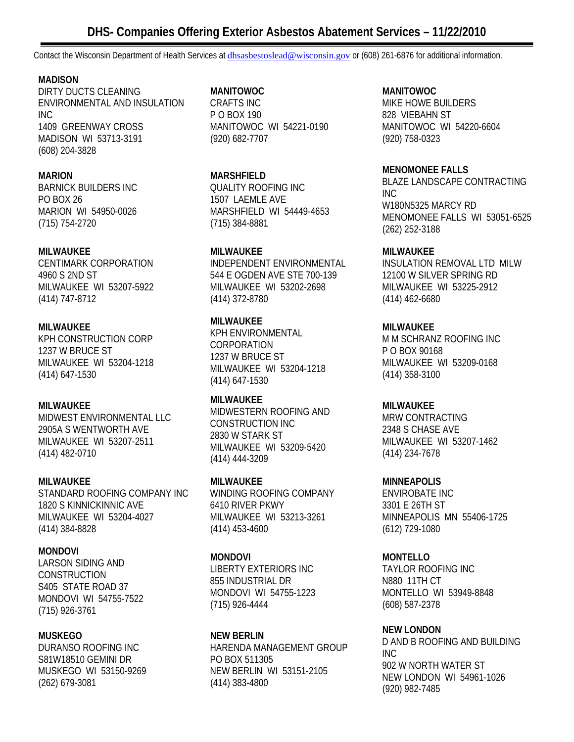# **DHS- Companies Offering Exterior Asbestos Abatement Services – 11/22/2010**

Contact the Wisconsin Department of Health Services at *dhsasbestoslead@wisconsin.gov* or (608) 261-6876 for additional information.

### **MADISON**

DIRTY DUCTS CLEANING ENVIRONMENTAL AND INSULATION INC 1409 GREENWAY CROSS MADISON WI 53713-3191 (608) 204-3828

### **MARION**

BARNICK BUILDERS INC PO BOX 26 MARION WI 54950-0026 (715) 754-2720

### **MILWAUKEE**

CENTIMARK CORPORATION 4960 S 2ND ST MILWAUKEE WI 53207-5922 (414) 747-8712

### **MILWAUKEE**

KPH CONSTRUCTION CORP 1237 W BRUCE ST MILWAUKEE WI 53204-1218 (414) 647-1530

# **MILWAUKEE**

MIDWEST ENVIRONMENTAL LLC 2905A S WENTWORTH AVE MILWAUKEE WI 53207-2511 (414) 482-0710

# **MILWAUKEE**

STANDARD ROOFING COMPANY INC 1820 S KINNICKINNIC AVE MILWAUKEE WI 53204-4027 (414) 384-8828

#### **MONDOVI**

LARSON SIDING AND CONSTRUCTION S405 STATE ROAD 37 MONDOVI WI 54755-7522 (715) 926-3761

#### **MUSKEGO**

DURANSO ROOFING INC S81W18510 GEMINI DR MUSKEGO WI 53150-9269 (262) 679-3081

### **MANITOWOC**

CRAFTS INC P O BOX 190 MANITOWOC WI 54221-0190 (920) 682-7707

### **MARSHFIELD**

QUALITY ROOFING INC 1507 LAEMLE AVE MARSHFIELD WI 54449-4653 (715) 384-8881

# **MILWAUKEE**

INDEPENDENT ENVIRONMENTAL 544 E OGDEN AVE STE 700-139 MILWAUKEE WI 53202-2698 (414) 372-8780

# **MILWAUKEE**

KPH ENVIRONMENTAL CORPORATION 1237 W BRUCE ST MILWAUKEE WI 53204-1218 (414) 647-1530

# **MILWAUKEE**

MIDWESTERN ROOFING AND CONSTRUCTION INC 2830 W STARK ST MILWAUKEE WI 53209-5420 (414) 444-3209

#### **MILWAUKEE**  WINDING ROOFING COMPANY 6410 RIVER PKWY MILWAUKEE WI 53213-3261 (414) 453-4600

#### **MONDOVI**

LIBERTY EXTERIORS INC 855 INDUSTRIAL DR MONDOVI WI 54755-1223 (715) 926-4444

#### **NEW BERLIN**  HARENDA MANAGEMENT GROUP PO BOX 511305 NEW BERLIN WI 53151-2105 (414) 383-4800

# **MANITOWOC**

MIKE HOWE BUILDERS 828 VIEBAHN ST MANITOWOC WI 54220-6604 (920) 758-0323

#### **MENOMONEE FALLS**

BLAZE LANDSCAPE CONTRACTING INC W180N5325 MARCY RD MENOMONEE FALLS WI 53051-6525 (262) 252-3188

### **MILWAUKEE**

INSULATION REMOVAL LTD MILW 12100 W SILVER SPRING RD MILWAUKEE WI 53225-2912 (414) 462-6680

### **MILWAUKEE**

M M SCHRANZ ROOFING INC P O BOX 90168 MILWAUKEE WI 53209-0168 (414) 358-3100

# **MILWAUKEE**

MRW CONTRACTING 2348 S CHASE AVE MILWAUKEE WI 53207-1462 (414) 234-7678

# **MINNEAPOLIS**

ENVIROBATE INC 3301 E 26TH ST MINNEAPOLIS MN 55406-1725 (612) 729-1080

# **MONTELLO**

TAYLOR ROOFING INC N880 11TH CT MONTELLO WI 53949-8848 (608) 587-2378

# **NEW LONDON**

D AND B ROOFING AND BUILDING INC 902 W NORTH WATER ST NEW LONDON WI 54961-1026 (920) 982-7485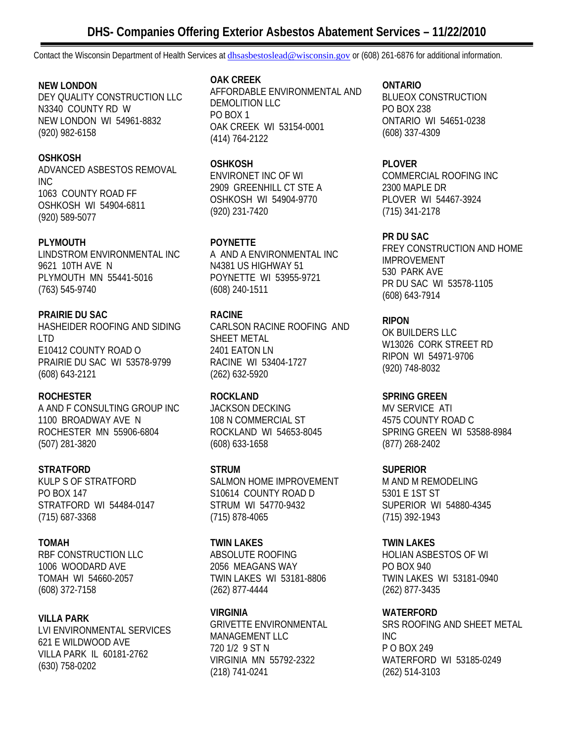# **NEW LONDON**

DEY QUALITY CONSTRUCTION LLC N3340 COUNTY RD W NEW LONDON WI 54961-8832 (920) 982-6158

# **OSHKOSH**

ADVANCED ASBESTOS REMOVAL INC 1063 COUNTY ROAD FF OSHKOSH WI 54904-6811 (920) 589-5077

# **PLYMOUTH**

LINDSTROM ENVIRONMENTAL INC 9621 10TH AVE N PLYMOUTH MN 55441-5016 (763) 545-9740

# **PRAIRIE DU SAC**

HASHEIDER ROOFING AND SIDING LTD E10412 COUNTY ROAD O PRAIRIE DU SAC WI 53578-9799 (608) 643-2121

# **ROCHESTER**

A AND F CONSULTING GROUP INC 1100 BROADWAY AVE N ROCHESTER MN 55906-6804 (507) 281-3820

# **STRATFORD**

KULP S OF STRATFORD PO BOX 147 STRATFORD WI 54484-0147 (715) 687-3368

# **TOMAH**

RBF CONSTRUCTION LLC 1006 WOODARD AVE TOMAH WI 54660-2057 (608) 372-7158

# **VILLA PARK**

LVI ENVIRONMENTAL SERVICES 621 E WILDWOOD AVE VILLA PARK IL 60181-2762 (630) 758-0202

### **OAK CREEK**

AFFORDABLE ENVIRONMENTAL AND DEMOLITION LLC PO BOX 1 OAK CREEK WI 53154-0001 (414) 764-2122

# **OSHKOSH**

ENVIRONET INC OF WI 2909 GREENHILL CT STE A OSHKOSH WI 54904-9770 (920) 231-7420

# **POYNETTE**

A AND A ENVIRONMENTAL INC N4381 US HIGHWAY 51 POYNETTE WI 53955-9721 (608) 240-1511

# **RACINE**

CARLSON RACINE ROOFING AND SHEET METAL 2401 EATON LN RACINE WI 53404-1727 (262) 632-5920

# **ROCKLAND**

JACKSON DECKING 108 N COMMERCIAL ST ROCKLAND WI 54653-8045 (608) 633-1658

# **STRUM**

SALMON HOME IMPROVEMENT S10614 COUNTY ROAD D STRUM WI 54770-9432 (715) 878-4065

# **TWIN LAKES**

ABSOLUTE ROOFING 2056 MEAGANS WAY TWIN LAKES WI 53181-8806 (262) 877-4444

# **VIRGINIA**

GRIVETTE ENVIRONMENTAL MANAGEMENT LLC 720 1/2 9 ST N VIRGINIA MN 55792-2322 (218) 741-0241

# **ONTARIO**

BLUEOX CONSTRUCTION PO BOX 238 ONTARIO WI 54651-0238 (608) 337-4309

# **PLOVER**

COMMERCIAL ROOFING INC 2300 MAPLE DR PLOVER WI 54467-3924 (715) 341-2178

### **PR DU SAC**

FREY CONSTRUCTION AND HOME IMPROVEMENT 530 PARK AVE PR DU SAC WI 53578-1105 (608) 643-7914

# **RIPON**

OK BUILDERS LLC W13026 CORK STREET RD RIPON WI 54971-9706 (920) 748-8032

# **SPRING GREEN**

MV SERVICE ATI 4575 COUNTY ROAD C SPRING GREEN WI 53588-8984 (877) 268-2402

# **SUPERIOR**

M AND M REMODELING 5301 E 1ST ST SUPERIOR WI 54880-4345 (715) 392-1943

# **TWIN LAKES**

HOLIAN ASBESTOS OF WI PO BOX 940 TWIN LAKES WI 53181-0940 (262) 877-3435

# **WATERFORD**

SRS ROOFING AND SHEET METAL INC P O BOX 249 WATERFORD WI 53185-0249 (262) 514-3103